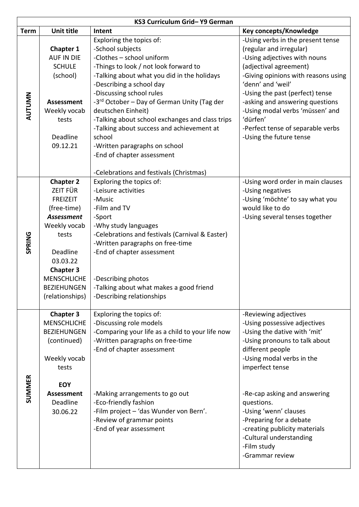| KS3 Curriculum Grid-Y9 German |                                                                                                                                                                                                                         |                                                                                                                                                                                                                                                                                                                                                               |                                                                                                                                                                                                                                                                                                                               |
|-------------------------------|-------------------------------------------------------------------------------------------------------------------------------------------------------------------------------------------------------------------------|---------------------------------------------------------------------------------------------------------------------------------------------------------------------------------------------------------------------------------------------------------------------------------------------------------------------------------------------------------------|-------------------------------------------------------------------------------------------------------------------------------------------------------------------------------------------------------------------------------------------------------------------------------------------------------------------------------|
| <b>Term</b>                   | <b>Unit title</b>                                                                                                                                                                                                       | Intent                                                                                                                                                                                                                                                                                                                                                        | Key concepts/Knowledge                                                                                                                                                                                                                                                                                                        |
| AUTUMN                        | Chapter 1<br><b>AUF IN DIE</b><br><b>SCHULE</b><br>(school)<br><b>Assessment</b><br>Weekly vocab<br>tests                                                                                                               | Exploring the topics of:<br>-School subjects<br>-Clothes - school uniform<br>-Things to look / not look forward to<br>-Talking about what you did in the holidays<br>-Describing a school day<br>-Discussing school rules<br>-3 <sup>rd</sup> October – Day of German Unity (Tag der<br>deutschen Einheit)<br>-Talking about school exchanges and class trips | -Using verbs in the present tense<br>(regular and irregular)<br>-Using adjectives with nouns<br>(adjectival agreement)<br>-Giving opinions with reasons using<br>'denn' and 'weil'<br>-Using the past (perfect) tense<br>-asking and answering questions<br>-Using modal verbs 'müssen' and<br>'dürfen'                       |
|                               | Deadline<br>09.12.21                                                                                                                                                                                                    | -Talking about success and achievement at<br>school<br>-Written paragraphs on school<br>-End of chapter assessment<br>-Celebrations and festivals (Christmas)                                                                                                                                                                                                 | -Perfect tense of separable verbs<br>-Using the future tense                                                                                                                                                                                                                                                                  |
| <b>SPRING</b>                 | <b>Chapter 2</b><br><b>ZEIT FÜR</b><br><b>FREIZEIT</b><br>(free-time)<br><b>Assessment</b><br>Weekly vocab<br>tests<br>Deadline<br>03.03.22<br><b>Chapter 3</b><br><b>MENSCHLICHE</b><br>BEZIEHUNGEN<br>(relationships) | Exploring the topics of:<br>-Leisure activities<br>-Music<br>-Film and TV<br>-Sport<br>-Why study languages<br>-Celebrations and festivals (Carnival & Easter)<br>-Written paragraphs on free-time<br>-End of chapter assessment<br>-Describing photos<br>-Talking about what makes a good friend<br>-Describing relationships                                | -Using word order in main clauses<br>-Using negatives<br>-Using 'möchte' to say what you<br>would like to do<br>-Using several tenses together                                                                                                                                                                                |
| <b>SUMMER</b>                 | <b>Chapter 3</b><br><b>MENSCHLICHE</b><br><b>BEZIEHUNGEN</b><br>(continued)<br>Weekly vocab<br>tests<br><b>EOY</b><br><b>Assessment</b><br>Deadline<br>30.06.22                                                         | Exploring the topics of:<br>-Discussing role models<br>-Comparing your life as a child to your life now<br>-Written paragraphs on free-time<br>-End of chapter assessment<br>-Making arrangements to go out<br>-Eco-friendly fashion<br>-Film project - 'das Wunder von Bern'.<br>-Review of grammar points<br>-End of year assessment                        | -Reviewing adjectives<br>-Using possessive adjectives<br>-Using the dative with 'mit'<br>-Using pronouns to talk about<br>different people<br>-Using modal verbs in the<br>imperfect tense<br>-Re-cap asking and answering<br>questions.<br>-Using 'wenn' clauses<br>-Preparing for a debate<br>-creating publicity materials |
|                               |                                                                                                                                                                                                                         |                                                                                                                                                                                                                                                                                                                                                               | -Cultural understanding<br>-Film study<br>-Grammar review                                                                                                                                                                                                                                                                     |